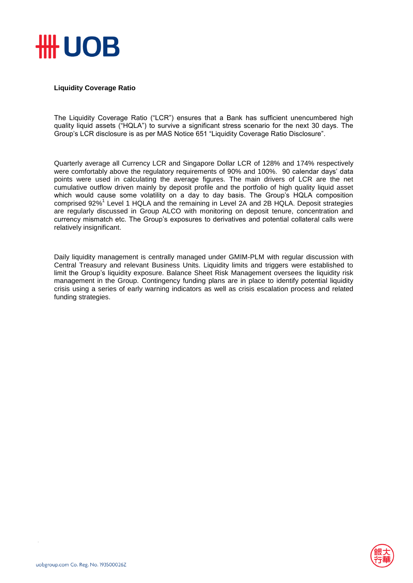

## **Liquidity Coverage Ratio**

The Liquidity Coverage Ratio ("LCR") ensures that a Bank has sufficient unencumbered high quality liquid assets ("HQLA") to survive a significant stress scenario for the next 30 days. The Group's LCR disclosure is as per MAS Notice 651 "Liquidity Coverage Ratio Disclosure".

Quarterly average all Currency LCR and Singapore Dollar LCR of 128% and 174% respectively were comfortably above the regulatory requirements of 90% and 100%. 90 calendar days' data points were used in calculating the average figures. The main drivers of LCR are the net cumulative outflow driven mainly by deposit profile and the portfolio of high quality liquid asset which would cause some volatility on a day to day basis. The Group's HQLA composition comprised 92%<sup>1</sup> Level 1 HQLA and the remaining in Level 2A and 2B HQLA. Deposit strategies are regularly discussed in Group ALCO with monitoring on deposit tenure, concentration and currency mismatch etc. The Group's exposures to derivatives and potential collateral calls were relatively insignificant.

Daily liquidity management is centrally managed under GMIM-PLM with regular discussion with Central Treasury and relevant Business Units. Liquidity limits and triggers were established to limit the Group's liquidity exposure. Balance Sheet Risk Management oversees the liquidity risk management in the Group. Contingency funding plans are in place to identify potential liquidity crisis using a series of early warning indicators as well as crisis escalation process and related funding strategies.

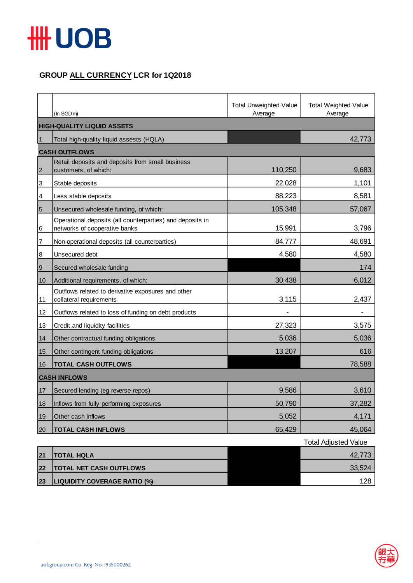

## **GROUP ALL CURRENCY LCR for 1Q2018**

|                 | (In SGD'm)                                                                                 | <b>Total Unweighted Value</b><br>Average | <b>Total Weighted Value</b><br>Average |  |  |
|-----------------|--------------------------------------------------------------------------------------------|------------------------------------------|----------------------------------------|--|--|
|                 | <b>HIGH-QUALITY LIQUID ASSETS</b>                                                          |                                          |                                        |  |  |
| $\mathbf{1}$    | Total high-quality liquid assests (HQLA)                                                   |                                          | 42,773                                 |  |  |
|                 | <b>CASH OUTFLOWS</b>                                                                       |                                          |                                        |  |  |
| $\overline{2}$  | Retail deposits and deposits from small business<br>customers, of which:                   | 110,250                                  | 9,683                                  |  |  |
| 3               | Stable deposits                                                                            | 22,028                                   | 1,101                                  |  |  |
| 4               | Less stable deposits                                                                       | 88,223                                   | 8,581                                  |  |  |
| $5\overline{5}$ | Unsecured wholesale funding, of which:                                                     | 105,348                                  | 57,067                                 |  |  |
| 6               | Operational deposits (all counterparties) and deposits in<br>networks of cooperative banks | 15,991                                   | 3,796                                  |  |  |
| 7               | Non-operational deposits (all counterparties)                                              | 84,777                                   | 48,691                                 |  |  |
| 8               | Unsecured debt                                                                             | 4,580                                    | 4,580                                  |  |  |
| $\overline{9}$  | Secured wholesale funding                                                                  |                                          | 174                                    |  |  |
| 10              | Additional requirements, of which:                                                         | 30,438                                   | 6,012                                  |  |  |
| 11              | Outflows related to derivative exposures and other<br>collateral requirements              | 3,115                                    | 2,437                                  |  |  |
| 12              | Outflows related to loss of funding on debt products                                       |                                          |                                        |  |  |
| 13              | Credit and liquidity facilities                                                            | 27,323                                   | 3,575                                  |  |  |
| 14              | Other contractual funding obligations                                                      | 5,036                                    | 5,036                                  |  |  |
| 15              | Other contingent funding obligations                                                       | 13,207                                   | 616                                    |  |  |
| 16              | <b>TOTAL CASH OUTFLOWS</b>                                                                 |                                          | 78,588                                 |  |  |
|                 | <b>CASH INFLOWS</b>                                                                        |                                          |                                        |  |  |
| 17              | Secured lending (eg reverse repos)                                                         | 9,586                                    | 3,610                                  |  |  |
| 18              | Inflows from fully performing exposures                                                    | 50,790                                   | 37,282                                 |  |  |
| 19              | Other cash inflows                                                                         | 5,052                                    | 4,171                                  |  |  |
| 20              | <b>TOTAL CASH INFLOWS</b>                                                                  | 65,429                                   | 45,064                                 |  |  |

|    |                                     | <b>Total Adjusted Value</b> |
|----|-------------------------------------|-----------------------------|
| 21 | <b>TOTAL HQLA</b>                   | 42.773                      |
| 22 | <b>TOTAL NET CASH OUTFLOWS</b>      | 33,524                      |
| 23 | <b>LIQUIDITY COVERAGE RATIO (%)</b> | 128                         |